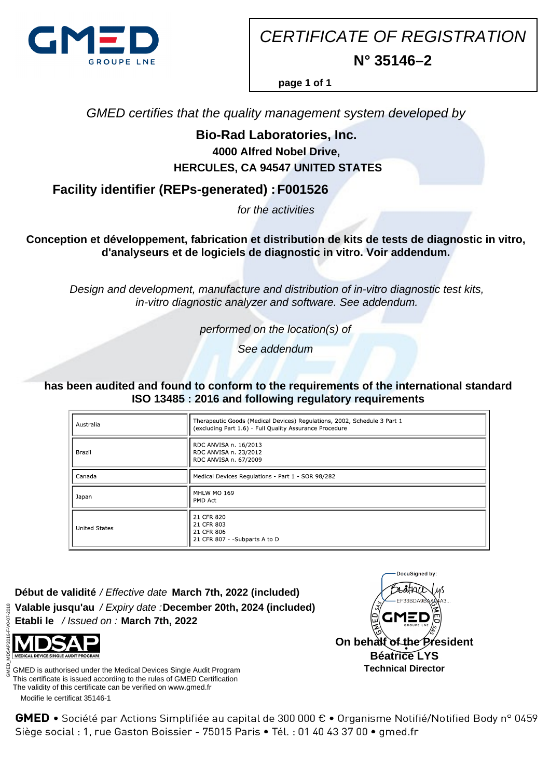

CERTIFICATE OF REGISTRATION **N° 35146–2**

**page 1 of 1**

GMED certifies that the quality management system developed by

## **Bio-Rad Laboratories, Inc. 4000 Alfred Nobel Drive, HERCULES, CA 94547 UNITED STATES**

**Facility identifier (REPs-generated) : F001526**

for the activities

**Conception et développement, fabrication et distribution de kits de tests de diagnostic in vitro, d'analyseurs et de logiciels de diagnostic in vitro. Voir addendum.**

Design and development, manufacture and distribution of in-vitro diagnostic test kits, in-vitro diagnostic analyzer and software. See addendum.

performed on the location(s) of

See addendum

**has been audited and found to conform to the requirements of the international standard ISO 13485 : 2016 and following regulatory requirements**

| Australia            | Therapeutic Goods (Medical Devices) Regulations, 2002, Schedule 3 Part 1<br>(excluding Part 1.6) - Full Quality Assurance Procedure |
|----------------------|-------------------------------------------------------------------------------------------------------------------------------------|
| Brazil               | RDC ANVISA n. 16/2013<br>RDC ANVISA n. 23/2012<br>RDC ANVISA n. 67/2009                                                             |
| Canada               | Medical Devices Regulations - Part 1 - SOR 98/282                                                                                   |
| Japan                | MHLW MO 169<br>PMD Act                                                                                                              |
| <b>United States</b> | 21 CFR 820<br>21 CFR 803<br>21 CFR 806<br>21 CFR 807 - - Subparts A to D                                                            |

**Début de validité** / Effective date **March 7th, 2022 (included) Valable jusqu'au** / Expiry date : **December 20th, 2024 (included) Etabli le** / Issued on : **March 7th, 2022**

 Modifie le certificat 35146-1 GMED is authorised under the Medical Devices Single Audit Program This certificate is issued according to the rules of GMED Certification The validity of this certificate can be verified on www.gmed.fr



GMED • Société par Actions Simplifiée au capital de 300 000 € • Organisme Notifié/Notified Body n° 0459 Siège social : 1, rue Gaston Boissier - 75015 Paris · Tél. : 01 40 43 37 00 · gmed.fr